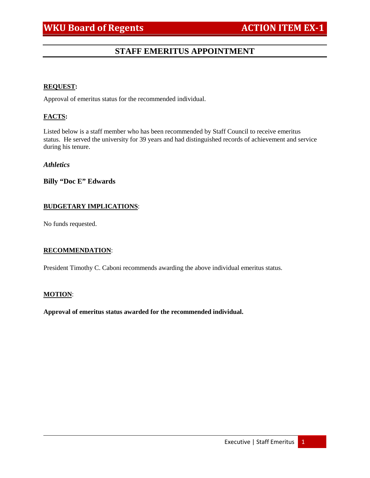# **STAFF EMERITUS APPOINTMENT**

#### **REQUEST:**

Approval of emeritus status for the recommended individual.

## **FACTS:**

Listed below is a staff member who has been recommended by Staff Council to receive emeritus status. He served the university for 39 years and had distinguished records of achievement and service during his tenure.

## *Athletics*

## **Billy "Doc E" Edwards**

### **BUDGETARY IMPLICATIONS**:

No funds requested.

## **RECOMMENDATION**:

President Timothy C. Caboni recommends awarding the above individual emeritus status.

#### **MOTION**:

**Approval of emeritus status awarded for the recommended individual.**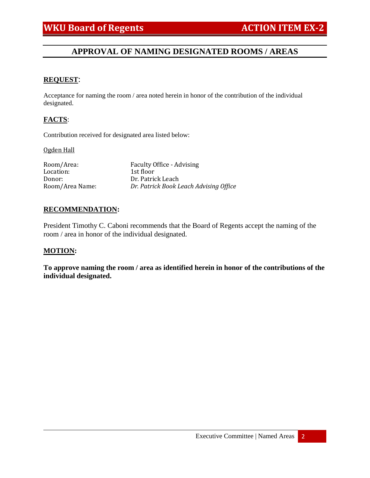# **APPROVAL OF NAMING DESIGNATED ROOMS / AREAS**

## **REQUEST**:

Acceptance for naming the room / area noted herein in honor of the contribution of the individual designated.

## **FACTS**:

Contribution received for designated area listed below:

#### Ogden Hall

Room/Area: Faculty Office - Advising<br>
Location: 1st floor Location:<br>Donor: Donor: Dr. Patrick Leach<br>Room/Area Name: Dr. Patrick Book L **Dr. Patrick Book Leach Advising Office** 

### **RECOMMENDATION:**

President Timothy C. Caboni recommends that the Board of Regents accept the naming of the room / area in honor of the individual designated.

#### **MOTION:**

**To approve naming the room / area as identified herein in honor of the contributions of the individual designated.**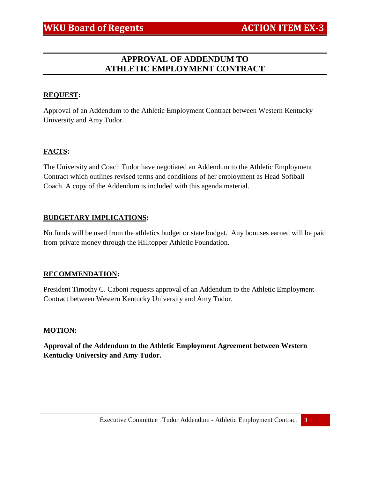# **APPROVAL OF ADDENDUM TO ATHLETIC EMPLOYMENT CONTRACT**

# **REQUEST:**

Approval of an Addendum to the Athletic Employment Contract between Western Kentucky University and Amy Tudor.

# **FACTS:**

The University and Coach Tudor have negotiated an Addendum to the Athletic Employment Contract which outlines revised terms and conditions of her employment as Head Softball Coach. A copy of the Addendum is included with this agenda material.

## **BUDGETARY IMPLICATIONS:**

No funds will be used from the athletics budget or state budget. Any bonuses earned will be paid from private money through the Hilltopper Athletic Foundation.

# **RECOMMENDATION:**

President Timothy C. Caboni requests approval of an Addendum to the Athletic Employment Contract between Western Kentucky University and Amy Tudor.

# **MOTION:**

**Approval of the Addendum to the Athletic Employment Agreement between Western Kentucky University and Amy Tudor.**